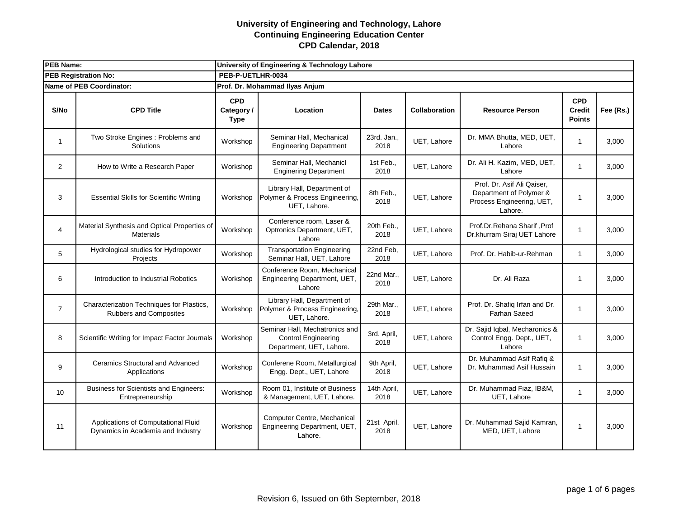| <b>PEB Name:</b>            |                                                                          | University of Engineering & Technology Lahore |                                                                                          |                     |                      |                                                                                               |                                              |           |  |  |
|-----------------------------|--------------------------------------------------------------------------|-----------------------------------------------|------------------------------------------------------------------------------------------|---------------------|----------------------|-----------------------------------------------------------------------------------------------|----------------------------------------------|-----------|--|--|
| <b>PEB Registration No:</b> |                                                                          | PEB-P-UETLHR-0034                             |                                                                                          |                     |                      |                                                                                               |                                              |           |  |  |
|                             | <b>Name of PEB Coordinator:</b>                                          | Prof. Dr. Mohammad Ilyas Anjum                |                                                                                          |                     |                      |                                                                                               |                                              |           |  |  |
| S/No                        | <b>CPD Title</b>                                                         | <b>CPD</b><br>Category /<br><b>Type</b>       | Location                                                                                 | <b>Dates</b>        | <b>Collaboration</b> | <b>Resource Person</b>                                                                        | <b>CPD</b><br><b>Credit</b><br><b>Points</b> | Fee (Rs.) |  |  |
| $\mathbf{1}$                | Two Stroke Engines : Problems and<br>Solutions                           | Workshop                                      | Seminar Hall, Mechanical<br><b>Engineering Department</b>                                | 23rd. Jan.,<br>2018 | UET, Lahore          | Dr. MMA Bhutta, MED, UET,<br>Lahore                                                           | $\mathbf{1}$                                 | 3,000     |  |  |
| 2                           | How to Write a Research Paper                                            | Workshop                                      | Seminar Hall, Mechanicl<br><b>Enginering Department</b>                                  | 1st Feb.,<br>2018   | UET, Lahore          | Dr. Ali H. Kazim, MED, UET,<br>Lahore                                                         | $\mathbf{1}$                                 | 3,000     |  |  |
| 3                           | <b>Essential Skills for Scientific Writing</b>                           | Workshop                                      | Library Hall, Department of<br>Polymer & Process Engineering,<br>UET, Lahore.            | 8th Feb.,<br>2018   | UET, Lahore          | Prof. Dr. Asif Ali Qaiser.<br>Department of Polymer &<br>Process Engineering, UET,<br>Lahore. | 1                                            | 3,000     |  |  |
| $\overline{4}$              | Material Synthesis and Optical Properties of<br><b>Materials</b>         | Workshop                                      | Conference room, Laser &<br>Optronics Department, UET,<br>Lahore                         | 20th Feb.,<br>2018  | UET, Lahore          | Prof.Dr.Rehana Sharif, Prof<br>Dr.khurram Siraj UET Lahore                                    | $\mathbf{1}$                                 | 3,000     |  |  |
| 5                           | Hydrological studies for Hydropower<br>Projects                          | Workshop                                      | <b>Transportation Engineering</b><br>Seminar Hall, UET, Lahore                           | 22nd Feb,<br>2018   | UET, Lahore          | Prof. Dr. Habib-ur-Rehman                                                                     | $\mathbf{1}$                                 | 3,000     |  |  |
| 6                           | Introduction to Industrial Robotics                                      | Workshop                                      | Conference Room, Mechanical<br>Engineering Department, UET,<br>Lahore                    | 22nd Mar.,<br>2018  | UET, Lahore          | Dr. Ali Raza                                                                                  | 1                                            | 3,000     |  |  |
| $\overline{7}$              | Characterization Techniques for Plastics,<br>Rubbers and Composites      | Workshop                                      | Library Hall, Department of<br>Polymer & Process Engineering,<br>UET, Lahore.            | 29th Mar.,<br>2018  | UET, Lahore          | Prof. Dr. Shafiq Irfan and Dr.<br><b>Farhan Saeed</b>                                         | $\mathbf{1}$                                 | 3,000     |  |  |
| 8                           | Scientific Writing for Impact Factor Journals                            | Workshop                                      | Seminar Hall, Mechatronics and<br><b>Control Engineering</b><br>Department, UET, Lahore. | 3rd. April,<br>2018 | UET, Lahore          | Dr. Sajid Iqbal, Mecharonics &<br>Control Engg. Dept., UET,<br>Lahore                         | $\mathbf{1}$                                 | 3,000     |  |  |
| 9                           | Ceramics Structural and Advanced<br>Applications                         | Workshop                                      | Conferene Room, Metallurgical<br>Engg. Dept., UET, Lahore                                | 9th April,<br>2018  | UET, Lahore          | Dr. Muhammad Asif Rafiq &<br>Dr. Muhammad Asif Hussain                                        | $\mathbf{1}$                                 | 3,000     |  |  |
| 10 <sup>10</sup>            | Business for Scientists and Engineers:<br>Entrepreneurship               | Workshop                                      | Room 01, Institute of Business<br>& Management, UET, Lahore.                             | 14th April,<br>2018 | UET, Lahore          | Dr. Muhammad Fiaz, IB&M,<br>UET, Lahore                                                       | $\mathbf{1}$                                 | 3,000     |  |  |
| 11                          | Applications of Computational Fluid<br>Dynamics in Academia and Industry | Workshop                                      | Computer Centre, Mechanical<br>Engineering Department, UET,<br>Lahore.                   | 21st April,<br>2018 | UET, Lahore          | Dr. Muhammad Sajid Kamran,<br>MED, UET, Lahore                                                | 1                                            | 3,000     |  |  |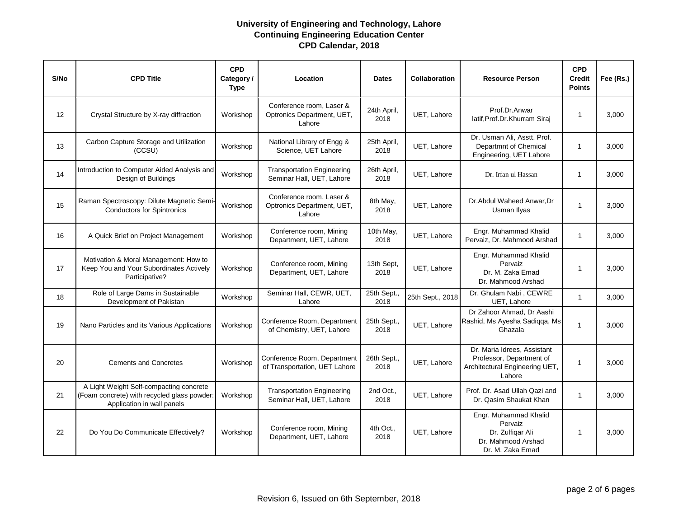| S/No | <b>CPD Title</b>                                                                                                     | <b>CPD</b><br>Category/<br><b>Type</b> | Location                                                         | <b>Dates</b>        | <b>Collaboration</b> | <b>Resource Person</b>                                                                              | <b>CPD</b><br><b>Credit</b><br><b>Points</b> | Fee (Rs.) |
|------|----------------------------------------------------------------------------------------------------------------------|----------------------------------------|------------------------------------------------------------------|---------------------|----------------------|-----------------------------------------------------------------------------------------------------|----------------------------------------------|-----------|
| 12   | Crystal Structure by X-ray diffraction                                                                               | Workshop                               | Conference room, Laser &<br>Optronics Department, UET,<br>Lahore | 24th April,<br>2018 | UET, Lahore          | Prof.Dr.Anwar<br>latif, Prof. Dr. Khurram Siraj                                                     | $\mathbf{1}$                                 | 3,000     |
| 13   | Carbon Capture Storage and Utilization<br>(CCSU)                                                                     | Workshop                               | National Library of Engg &<br>Science, UET Lahore                | 25th April,<br>2018 | UET, Lahore          | Dr. Usman Ali, Asstt. Prof.<br>Departmnt of Chemical<br>Engineering, UET Lahore                     | $\mathbf{1}$                                 | 3.000     |
| 14   | Introduction to Computer Aided Analysis and<br>Design of Buildings                                                   | Workshop                               | <b>Transportation Engineering</b><br>Seminar Hall, UET, Lahore   | 26th April,<br>2018 | UET, Lahore          | Dr. Irfan ul Hassan                                                                                 | 1                                            | 3.000     |
| 15   | Raman Spectroscopy: Dilute Magnetic Semi-<br><b>Conductors for Spintronics</b>                                       | Workshop                               | Conference room, Laser &<br>Optronics Department, UET,<br>Lahore | 8th May,<br>2018    | UET, Lahore          | Dr. Abdul Waheed Anwar. Dr<br>Usman Ilyas                                                           | $\mathbf{1}$                                 | 3,000     |
| 16   | A Quick Brief on Project Management                                                                                  | Workshop                               | Conference room, Mining<br>Department, UET, Lahore               | 10th May,<br>2018   | UET, Lahore          | Engr. Muhammad Khalid<br>Pervaiz, Dr. Mahmood Arshad                                                | $\mathbf{1}$                                 | 3,000     |
| 17   | Motivation & Moral Management: How to<br>Keep You and Your Subordinates Actively<br>Participative?                   | Workshop                               | Conference room, Mining<br>Department, UET, Lahore               | 13th Sept.<br>2018  | UET, Lahore          | Engr. Muhammad Khalid<br>Pervaiz<br>Dr. M. Zaka Emad<br>Dr. Mahmood Arshad                          | $\mathbf{1}$                                 | 3,000     |
| 18   | Role of Large Dams in Sustainable<br>Development of Pakistan                                                         | Workshop                               | Seminar Hall, CEWR, UET,<br>Lahore                               | 25th Sept.,<br>2018 | 25th Sept., 2018     | Dr. Ghulam Nabi, CEWRE<br>UET, Lahore                                                               | $\mathbf{1}$                                 | 3,000     |
| 19   | Nano Particles and its Various Applications                                                                          | Workshop                               | Conference Room, Department<br>of Chemistry, UET, Lahore         | 25th Sept.,<br>2018 | UET, Lahore          | Dr Zahoor Ahmad, Dr Aashi<br>Rashid, Ms Ayesha Sadiqqa, Ms<br>Ghazala                               | 1                                            | 3,000     |
| 20   | <b>Cements and Concretes</b>                                                                                         | Workshop                               | Conference Room, Department<br>of Transportation, UET Lahore     | 26th Sept.,<br>2018 | UET, Lahore          | Dr. Maria Idrees, Assistant<br>Professor, Department of<br>Architectural Engineering UET,<br>Lahore | $\mathbf{1}$                                 | 3,000     |
| 21   | A Light Weight Self-compacting concrete<br>(Foam concrete) with recycled glass powder:<br>Application in wall panels | Workshop                               | <b>Transportation Engineering</b><br>Seminar Hall, UET, Lahore   | 2nd Oct.,<br>2018   | UET, Lahore          | Prof. Dr. Asad Ullah Qazi and<br>Dr. Qasim Shaukat Khan                                             | $\mathbf{1}$                                 | 3,000     |
| 22   | Do You Do Communicate Effectively?                                                                                   | Workshop                               | Conference room, Mining<br>Department, UET, Lahore               | 4th Oct.,<br>2018   | UET, Lahore          | Engr. Muhammad Khalid<br>Pervaiz<br>Dr. Zulfigar Ali<br>Dr. Mahmood Arshad<br>Dr. M. Zaka Emad      | $\mathbf{1}$                                 | 3,000     |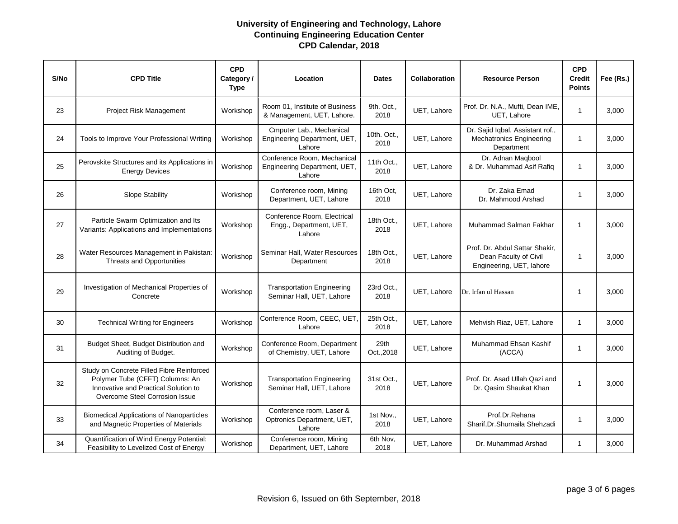| S/No | <b>CPD Title</b>                                                                                                                                       | <b>CPD</b><br>Category /<br><b>Type</b> | Location                                                              | <b>Dates</b>        | Collaboration | <b>Resource Person</b>                                                              | <b>CPD</b><br><b>Credit</b><br><b>Points</b> | Fee (Rs.) |
|------|--------------------------------------------------------------------------------------------------------------------------------------------------------|-----------------------------------------|-----------------------------------------------------------------------|---------------------|---------------|-------------------------------------------------------------------------------------|----------------------------------------------|-----------|
| 23   | Project Risk Management                                                                                                                                | Workshop                                | Room 01. Institute of Business<br>& Management, UET, Lahore.          | 9th. Oct.,<br>2018  | UET, Lahore   | Prof. Dr. N.A., Mufti, Dean IME,<br>UET. Lahore                                     | $\mathbf{1}$                                 | 3,000     |
| 24   | Tools to Improve Your Professional Writing                                                                                                             | Workshop                                | Cmputer Lab., Mechanical<br>Engineering Department, UET,<br>Lahore    | 10th. Oct.,<br>2018 | UET, Lahore   | Dr. Sajid Iqbal, Assistant rof.,<br>Mechatronics Engineering<br>Department          | $\mathbf{1}$                                 | 3,000     |
| 25   | Perovskite Structures and its Applications in<br><b>Energy Devices</b>                                                                                 | Workshop                                | Conference Room, Mechanical<br>Engineering Department, UET,<br>Lahore | 11th Oct.,<br>2018  | UET, Lahore   | Dr. Adnan Magbool<br>& Dr. Muhammad Asif Rafiq                                      | $\mathbf{1}$                                 | 3,000     |
| 26   | Slope Stability                                                                                                                                        | Workshop                                | Conference room, Mining<br>Department, UET, Lahore                    | 16th Oct,<br>2018   | UET, Lahore   | Dr. Zaka Emad<br>Dr. Mahmood Arshad                                                 | 1                                            | 3,000     |
| 27   | Particle Swarm Optimization and Its<br>Variants: Applications and Implementations                                                                      | Workshop                                | Conference Room, Electrical<br>Engg., Department, UET,<br>Lahore      | 18th Oct.,<br>2018  | UET, Lahore   | Muhammad Salman Fakhar                                                              | 1                                            | 3,000     |
| 28   | Water Resources Management in Pakistan:<br>Threats and Opportunities                                                                                   | Workshop                                | Seminar Hall, Water Resources<br>Department                           | 18th Oct.,<br>2018  | UET, Lahore   | Prof. Dr. Abdul Sattar Shakir,<br>Dean Faculty of Civil<br>Engineering, UET, lahore | $\mathbf{1}$                                 | 3,000     |
| 29   | Investigation of Mechanical Properties of<br>Concrete                                                                                                  | Workshop                                | <b>Transportation Engineering</b><br>Seminar Hall, UET, Lahore        | 23rd Oct.,<br>2018  | UET, Lahore   | Dr. Irfan ul Hassan                                                                 | $\mathbf{1}$                                 | 3,000     |
| 30   | <b>Technical Writing for Engineers</b>                                                                                                                 | Workshop                                | Conference Room, CEEC, UET,<br>Lahore                                 | 25th Oct.,<br>2018  | UET, Lahore   | Mehvish Riaz, UET, Lahore                                                           | $\mathbf{1}$                                 | 3,000     |
| 31   | Budget Sheet, Budget Distribution and<br>Auditing of Budget.                                                                                           | Workshop                                | Conference Room, Department<br>of Chemistry, UET, Lahore              | 29th<br>Oct., 2018  | UET, Lahore   | Muhammad Ehsan Kashif<br>(ACCA)                                                     | $\mathbf{1}$                                 | 3,000     |
| 32   | Study on Concrete Filled Fibre Reinforced<br>Polymer Tube (CFFT) Columns: An<br>Innovative and Practical Solution to<br>Overcome Steel Corrosion Issue | Workshop                                | <b>Transportation Engineering</b><br>Seminar Hall, UET, Lahore        | 31st Oct.,<br>2018  | UET, Lahore   | Prof. Dr. Asad Ullah Qazi and<br>Dr. Qasim Shaukat Khan                             | 1                                            | 3,000     |
| 33   | <b>Biomedical Applications of Nanoparticles</b><br>and Magnetic Properties of Materials                                                                | Workshop                                | Conference room, Laser &<br>Optronics Department, UET,<br>Lahore      | 1st Nov.,<br>2018   | UET, Lahore   | Prof.Dr.Rehana<br>Sharif, Dr. Shumaila Shehzadi                                     | 1                                            | 3,000     |
| 34   | Quantification of Wind Energy Potential:<br>Feasibility to Levelized Cost of Energy                                                                    | Workshop                                | Conference room, Mining<br>Department, UET, Lahore                    | 6th Nov,<br>2018    | UET, Lahore   | Dr. Muhammad Arshad                                                                 | 1                                            | 3,000     |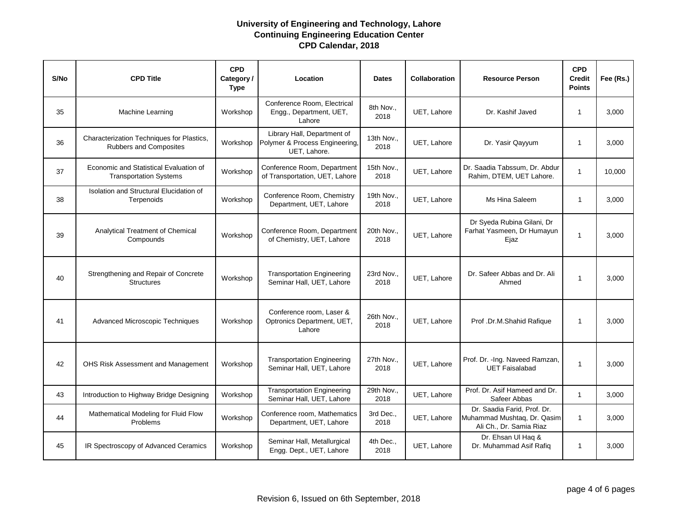| S/No | <b>CPD Title</b>                                                        | <b>CPD</b><br>Category/<br><b>Type</b> | Location                                                                      | <b>Dates</b>       | <b>Collaboration</b> | <b>Resource Person</b>                                                                | <b>CPD</b><br><b>Credit</b><br><b>Points</b> | Fee (Rs.) |
|------|-------------------------------------------------------------------------|----------------------------------------|-------------------------------------------------------------------------------|--------------------|----------------------|---------------------------------------------------------------------------------------|----------------------------------------------|-----------|
| 35   | Machine Learning                                                        | Workshop                               | Conference Room, Electrical<br>Engg., Department, UET,<br>Lahore              | 8th Nov.,<br>2018  | UET. Lahore          | Dr. Kashif Javed                                                                      | $\mathbf{1}$                                 | 3.000     |
| 36   | Characterization Techniques for Plastics,<br>Rubbers and Composites     | Workshop                               | Library Hall, Department of<br>Polymer & Process Engineering,<br>UET. Lahore. | 13th Nov.,<br>2018 | UET, Lahore          | Dr. Yasir Qayyum                                                                      | 1                                            | 3,000     |
| 37   | Economic and Statistical Evaluation of<br><b>Transportation Systems</b> | Workshop                               | Conference Room, Department<br>of Transportation, UET, Lahore                 | 15th Nov.,<br>2018 | UET, Lahore          | Dr. Saadia Tabssum, Dr. Abdur<br>Rahim, DTEM, UET Lahore.                             | $\mathbf{1}$                                 | 10,000    |
| 38   | Isolation and Structural Elucidation of<br>Terpenoids                   | Workshop                               | Conference Room, Chemistry<br>Department, UET, Lahore                         | 19th Nov.,<br>2018 | UET, Lahore          | Ms Hina Saleem                                                                        | $\mathbf{1}$                                 | 3,000     |
| 39   | Analytical Treatment of Chemical<br>Compounds                           | Workshop                               | Conference Room, Department<br>of Chemistry, UET, Lahore                      | 20th Nov.,<br>2018 | UET. Lahore          | Dr Syeda Rubina Gilani, Dr<br>Farhat Yasmeen, Dr Humayun<br>Ejaz                      | $\mathbf{1}$                                 | 3,000     |
| 40   | Strengthening and Repair of Concrete<br><b>Structures</b>               | Workshop                               | <b>Transportation Engineering</b><br>Seminar Hall, UET, Lahore                | 23rd Nov.,<br>2018 | UET, Lahore          | Dr. Safeer Abbas and Dr. Ali<br>Ahmed                                                 | $\mathbf{1}$                                 | 3,000     |
| 41   | Advanced Microscopic Techniques                                         | Workshop                               | Conference room, Laser &<br>Optronics Department, UET,<br>Lahore              | 26th Nov.,<br>2018 | UET, Lahore          | Prof .Dr.M.Shahid Rafique                                                             | $\mathbf{1}$                                 | 3,000     |
| 42   | OHS Risk Assessment and Management                                      | Workshop                               | <b>Transportation Engineering</b><br>Seminar Hall, UET, Lahore                | 27th Nov.,<br>2018 | UET, Lahore          | Prof. Dr. - Ing. Naveed Ramzan,<br><b>UET Faisalabad</b>                              | $\mathbf{1}$                                 | 3,000     |
| 43   | Introduction to Highway Bridge Designing                                | Workshop                               | <b>Transportation Engineering</b><br>Seminar Hall, UET, Lahore                | 29th Nov.,<br>2018 | UET, Lahore          | Prof. Dr. Asif Hameed and Dr.<br>Safeer Abbas                                         | $\mathbf{1}$                                 | 3,000     |
| 44   | Mathematical Modeling for Fluid Flow<br><b>Problems</b>                 | Workshop                               | Conference room, Mathematics<br>Department, UET, Lahore                       | 3rd Dec.,<br>2018  | UET, Lahore          | Dr. Saadia Farid, Prof. Dr.<br>Muhammad Mushtaq, Dr. Qasim<br>Ali Ch., Dr. Samia Riaz | $\mathbf{1}$                                 | 3,000     |
| 45   | IR Spectroscopy of Advanced Ceramics                                    | Workshop                               | Seminar Hall, Metallurgical<br>Engg. Dept., UET, Lahore                       | 4th Dec.,<br>2018  | UET, Lahore          | Dr. Ehsan Ul Haq &<br>Dr. Muhammad Asif Rafiq                                         | $\mathbf{1}$                                 | 3,000     |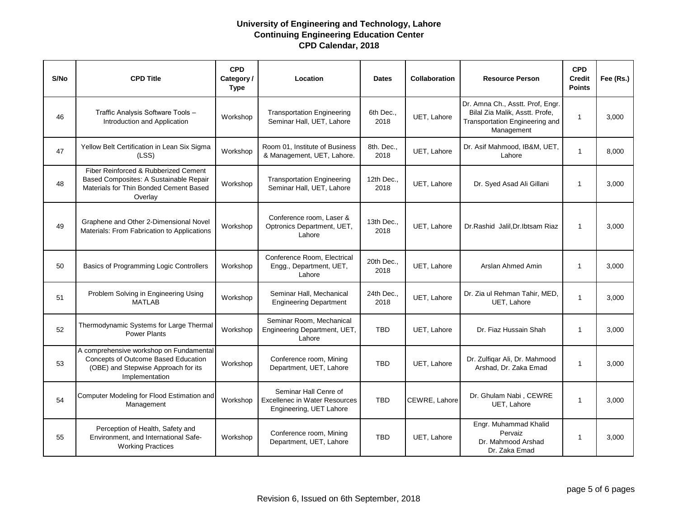| S/No | <b>CPD Title</b>                                                                                                                        | <b>CPD</b><br>Category /<br><b>Type</b> | Location                                                                                 | <b>Dates</b>       | <b>Collaboration</b> | <b>Resource Person</b>                                                                                             | <b>CPD</b><br><b>Credit</b><br><b>Points</b> | Fee (Rs.) |
|------|-----------------------------------------------------------------------------------------------------------------------------------------|-----------------------------------------|------------------------------------------------------------------------------------------|--------------------|----------------------|--------------------------------------------------------------------------------------------------------------------|----------------------------------------------|-----------|
| 46   | Traffic Analysis Software Tools -<br>Introduction and Application                                                                       | Workshop                                | <b>Transportation Engineering</b><br>Seminar Hall, UET, Lahore                           | 6th Dec.,<br>2018  | UET, Lahore          | Dr. Amna Ch., Asstt. Prof, Engr.<br>Bilal Zia Malik, Asstt. Profe,<br>Transportation Engineering and<br>Management | $\mathbf{1}$                                 | 3.000     |
| 47   | Yellow Belt Certification in Lean Six Sigma<br>(LSS)                                                                                    | Workshop                                | Room 01. Institute of Business<br>& Management, UET, Lahore.                             | 8th. Dec.,<br>2018 | UET, Lahore          | Dr. Asif Mahmood, IB&M, UET,<br>Lahore                                                                             | $\mathbf{1}$                                 | 8,000     |
| 48   | Fiber Reinforced & Rubberized Cement<br>Based Composites: A Sustainable Repair<br>Materials for Thin Bonded Cement Based<br>Overlay     | Workshop                                | <b>Transportation Engineering</b><br>Seminar Hall, UET, Lahore                           | 12th Dec.,<br>2018 | UET, Lahore          | Dr. Syed Asad Ali Gillani                                                                                          | 1                                            | 3,000     |
| 49   | Graphene and Other 2-Dimensional Novel<br>Materials: From Fabrication to Applications                                                   | Workshop                                | Conference room, Laser &<br>Optronics Department, UET,<br>Lahore                         | 13th Dec.,<br>2018 | UET. Lahore          | Dr.Rashid Jalil.Dr.Ibtsam Riaz                                                                                     | $\mathbf{1}$                                 | 3,000     |
| 50   | Basics of Programming Logic Controllers                                                                                                 | Workshop                                | Conference Room, Electrical<br>Engg., Department, UET,<br>Lahore                         | 20th Dec.,<br>2018 | UET, Lahore          | Arslan Ahmed Amin                                                                                                  | 1                                            | 3,000     |
| 51   | Problem Solving in Engineering Using<br><b>MATLAB</b>                                                                                   | Workshop                                | Seminar Hall, Mechanical<br><b>Engineering Department</b>                                | 24th Dec.,<br>2018 | UET. Lahore          | Dr. Zia ul Rehman Tahir, MED,<br>UET, Lahore                                                                       | $\mathbf{1}$                                 | 3,000     |
| 52   | Thermodynamic Systems for Large Thermal<br><b>Power Plants</b>                                                                          | Workshop                                | Seminar Room, Mechanical<br>Engineering Department, UET,<br>Lahore                       | <b>TBD</b>         | UET. Lahore          | Dr. Fiaz Hussain Shah                                                                                              | $\mathbf{1}$                                 | 3.000     |
| 53   | A comprehensive workshop on Fundamental<br>Concepts of Outcome Based Education<br>(OBE) and Stepwise Approach for its<br>Implementation | Workshop                                | Conference room, Mining<br>Department, UET, Lahore                                       | <b>TBD</b>         | UET, Lahore          | Dr. Zulfiqar Ali, Dr. Mahmood<br>Arshad, Dr. Zaka Emad                                                             | $\mathbf{1}$                                 | 3,000     |
| 54   | Computer Modeling for Flood Estimation and<br>Management                                                                                | Workshop                                | Seminar Hall Cenre of<br><b>Excellenec in Water Resources</b><br>Engineering, UET Lahore | <b>TBD</b>         | CEWRE, Lahore        | Dr. Ghulam Nabi, CEWRE<br>UET, Lahore                                                                              | $\mathbf{1}$                                 | 3,000     |
| 55   | Perception of Health, Safety and<br>Environment, and International Safe-<br><b>Working Practices</b>                                    | Workshop                                | Conference room, Mining<br>Department, UET, Lahore                                       | <b>TBD</b>         | UET, Lahore          | Engr. Muhammad Khalid<br>Pervaiz<br>Dr. Mahmood Arshad<br>Dr. Zaka Emad                                            | $\mathbf{1}$                                 | 3,000     |